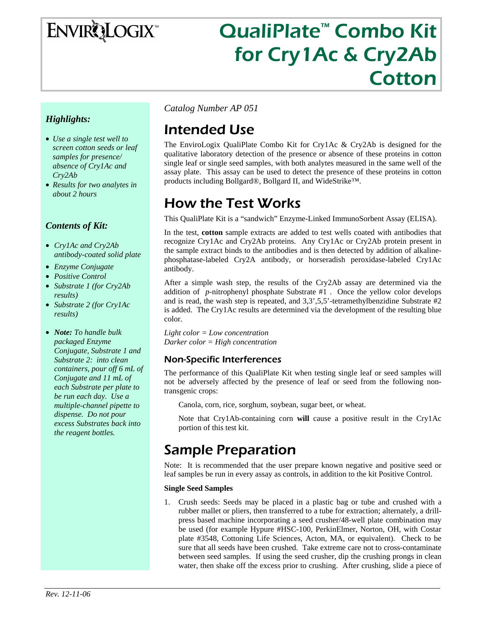# ENVIRQLOGIX

# QualiPlate™ Combo Kit for Cry1Ac & Cry2Ab **Cotton**

### *Highlights:*

- *Use a single test well to screen cotton seeds or leaf samples for presence/ absence of Cry1Ac and Cry2Ab*
- *Results for two analytes in about 2 hours*

### *Contents of Kit:*

- *Cry1Ac and Cry2Ab antibody-coated solid plate*
- *Enzyme Conjugate*
- *Positive Control*
- *Substrate 1 (for Cry2Ab results)*
- *Substrate 2 (for Cry1Ac results)*
- *Note: To handle bulk packaged Enzyme Conjugate, Substrate 1 and Substrate 2: into clean containers, pour off 6 mL of Conjugate and 11 mL of each Substrate per plate to be run each day. Use a multiple-channel pipette to dispense. Do not pour excess Substrates back into the reagent bottles.*

*Catalog Number AP 051*

# Intended Use

The EnviroLogix QualiPlate Combo Kit for Cry1Ac & Cry2Ab is designed for the qualitative laboratory detection of the presence or absence of these proteins in cotton single leaf or single seed samples, with both analytes measured in the same well of the assay plate. This assay can be used to detect the presence of these proteins in cotton products including Bollgard®, Bollgard II, and WideStrike™.

# How the Test Works

This QualiPlate Kit is a "sandwich" Enzyme-Linked ImmunoSorbent Assay (ELISA).

In the test, **cotton** sample extracts are added to test wells coated with antibodies that recognize Cry1Ac and Cry2Ab proteins. Any Cry1Ac or Cry2Ab protein present in the sample extract binds to the antibodies and is then detected by addition of alkalinephosphatase-labeled Cry2A antibody, or horseradish peroxidase-labeled Cry1Ac antibody.

After a simple wash step, the results of the Cry2Ab assay are determined via the addition of *p*-nitrophenyl phosphate Substrate #1 . Once the yellow color develops and is read, the wash step is repeated, and  $3,3^{\prime},5,5^{\prime}$ -tetramethylbenzidine Substrate #2 is added. The Cry1Ac results are determined via the development of the resulting blue color.

*Light color = Low concentration Darker color = High concentration* 

### Non-Specific Interferences

The performance of this QualiPlate Kit when testing single leaf or seed samples will not be adversely affected by the presence of leaf or seed from the following nontransgenic crops:

Canola, corn, rice, sorghum, soybean, sugar beet, or wheat.

Note that Cry1Ab-containing corn **will** cause a positive result in the Cry1Ac portion of this test kit.

# Sample Preparation

Note: It is recommended that the user prepare known negative and positive seed or leaf samples be run in every assay as controls, in addition to the kit Positive Control.

#### **Single Seed Samples**

1. Crush seeds: Seeds may be placed in a plastic bag or tube and crushed with a rubber mallet or pliers, then transferred to a tube for extraction; alternately, a drillpress based machine incorporating a seed crusher/48-well plate combination may be used (for example Hypure #HSC-100, PerkinElmer, Norton, OH, with Costar plate #3548, Cottoning Life Sciences, Acton, MA, or equivalent). Check to be sure that all seeds have been crushed. Take extreme care not to cross-contaminate between seed samples. If using the seed crusher, dip the crushing prongs in clean water, then shake off the excess prior to crushing. After crushing, slide a piece of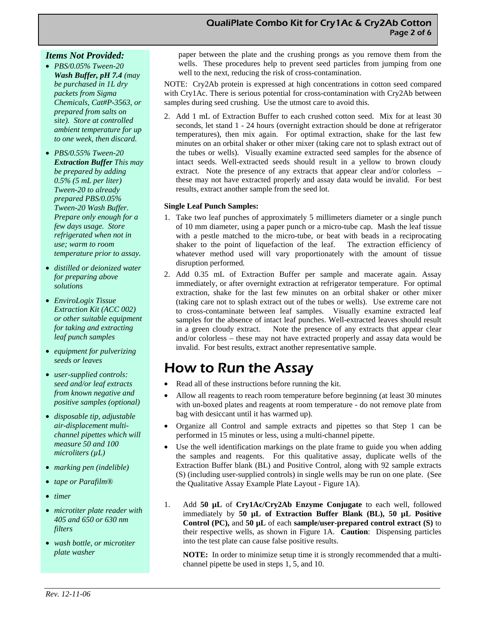#### *Items Not Provided:*

- *PBS/0.05% Tween-20 Wash Buffer, pH 7.4 (may be purchased in 1L dry packets from Sigma Chemicals, Cat#P-3563, or prepared from salts on site). Store at controlled ambient temperature for up to one week, then discard.*
- *PBS/0.55% Tween-20 Extraction Buffer This may be prepared by adding 0.5% (5 mL per liter) Tween-20 to already prepared PBS/0.05% Tween-20 Wash Buffer. Prepare only enough for a few days usage. Store refrigerated when not in use; warm to room temperature prior to assay.*
- *distilled or deionized water for preparing above solutions*
- *EnviroLogix Tissue Extraction Kit (ACC 002) or other suitable equipment for taking and extracting leaf punch samples*
- *equipment for pulverizing seeds or leaves*
- *user-supplied controls: seed and/or leaf extracts from known negative and positive samples (optional)*
- *disposable tip, adjustable air-displacement multichannel pipettes which will measure 50 and 100 microliters (µL)*
- *marking pen (indelible)*
- *tape or Parafilm®*
- *timer*
- *microtiter plate reader with 405 and 650 or 630 nm filters*
- *wash bottle, or microtiter plate washer*

paper between the plate and the crushing prongs as you remove them from the wells. These procedures help to prevent seed particles from jumping from one well to the next, reducing the risk of cross-contamination.

NOTE: Cry2Ab protein is expressed at high concentrations in cotton seed compared with Cry1Ac. There is serious potential for cross-contamination with Cry2Ab between samples during seed crushing. Use the utmost care to avoid this.

2. Add 1 mL of Extraction Buffer to each crushed cotton seed. Mix for at least 30 seconds, let stand 1 - 24 hours (overnight extraction should be done at refrigerator temperatures), then mix again. For optimal extraction, shake for the last few minutes on an orbital shaker or other mixer (taking care not to splash extract out of the tubes or wells). Visually examine extracted seed samples for the absence of intact seeds. Well-extracted seeds should result in a yellow to brown cloudy extract. Note the presence of any extracts that appear clear and/or colorless – these may not have extracted properly and assay data would be invalid. For best results, extract another sample from the seed lot.

#### **Single Leaf Punch Samples:**

- 1. Take two leaf punches of approximately 5 millimeters diameter or a single punch of 10 mm diameter, using a paper punch or a micro-tube cap. Mash the leaf tissue with a pestle matched to the micro-tube, or beat with beads in a reciprocating shaker to the point of liquefaction of the leaf. The extraction efficiency of whatever method used will vary proportionately with the amount of tissue disruption performed*.*
- 2. Add 0.35 mL of Extraction Buffer per sample and macerate again. Assay immediately, or after overnight extraction at refrigerator temperature. For optimal extraction, shake for the last few minutes on an orbital shaker or other mixer (taking care not to splash extract out of the tubes or wells). Use extreme care not to cross-contaminate between leaf samples. Visually examine extracted leaf samples for the absence of intact leaf punches. Well-extracted leaves should result in a green cloudy extract. Note the presence of any extracts that appear clear and/or colorless – these may not have extracted properly and assay data would be invalid. For best results, extract another representative sample.

# How to Run the Assay

- Read all of these instructions before running the kit.
- Allow all reagents to reach room temperature before beginning (at least 30 minutes with un-boxed plates and reagents at room temperature - do not remove plate from bag with desiccant until it has warmed up).
- Organize all Control and sample extracts and pipettes so that Step 1 can be performed in 15 minutes or less, using a multi-channel pipette.
- Use the well identification markings on the plate frame to guide you when adding the samples and reagents. For this qualitative assay, duplicate wells of the Extraction Buffer blank (BL) and Positive Control, along with 92 sample extracts (S) (including user-supplied controls) in single wells may be run on one plate. (See the Qualitative Assay Example Plate Layout - Figure 1A).
- 1. Add **50 µL** of **Cry1Ac/Cry2Ab Enzyme Conjugate** to each well, followed immediately by **50 µL of Extraction Buffer Blank (BL), 50 µL Positive Control (PC),** and **50 µL** of each **sample/user-prepared control extract (S)** to their respective wells, as shown in Figure 1A. **Caution**: Dispensing particles into the test plate can cause false positive results.

**NOTE:** In order to minimize setup time it is strongly recommended that a multichannel pipette be used in steps 1, 5, and 10.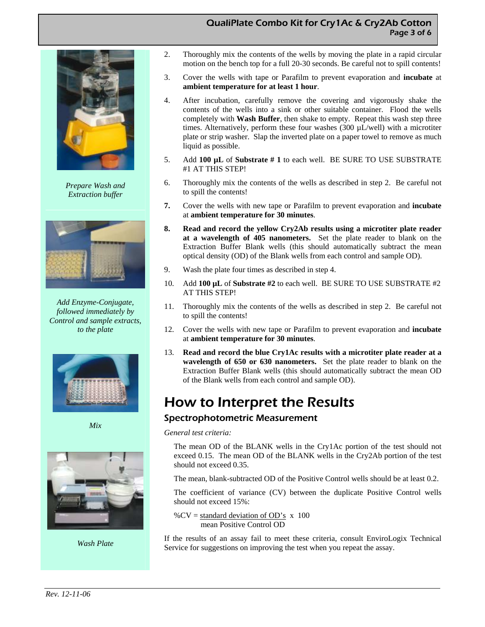#### QualiPlate Combo Kit for Cry1Ac & Cry2Ab Cotton Page 3 of 6



*Prepare Wash and Extraction buffer*



*Add Enzyme-Conjugate, followed immediately by Control and sample extracts, to the plate* 



*Mix* 



*Wash Plate* 

- 2. Thoroughly mix the contents of the wells by moving the plate in a rapid circular motion on the bench top for a full 20-30 seconds. Be careful not to spill contents!
- 3. Cover the wells with tape or Parafilm to prevent evaporation and **incubate** at **ambient temperature for at least 1 hour**.
- 4. After incubation, carefully remove the covering and vigorously shake the contents of the wells into a sink or other suitable container. Flood the wells completely with **Wash Buffer**, then shake to empty. Repeat this wash step three times. Alternatively, perform these four washes (300 µL/well) with a microtiter plate or strip washer. Slap the inverted plate on a paper towel to remove as much liquid as possible.
- 5. Add **100 µL** of **Substrate # 1** to each well. BE SURE TO USE SUBSTRATE #1 AT THIS STEP!
- 6. Thoroughly mix the contents of the wells as described in step 2. Be careful not to spill the contents!
- **7.** Cover the wells with new tape or Parafilm to prevent evaporation and **incubate**  at **ambient temperature for 30 minutes**.
- **8. Read and record the yellow Cry2Ab results using a microtiter plate reader at a wavelength of 405 nanometers.** Set the plate reader to blank on the Extraction Buffer Blank wells (this should automatically subtract the mean optical density (OD) of the Blank wells from each control and sample OD).
- 9. Wash the plate four times as described in step 4.
- 10. Add **100 µL** of **Substrate #2** to each well. BE SURE TO USE SUBSTRATE #2 AT THIS STEP!
- 11. Thoroughly mix the contents of the wells as described in step 2. Be careful not to spill the contents!
- 12. Cover the wells with new tape or Parafilm to prevent evaporation and **incubate**  at **ambient temperature for 30 minutes**.
- 13. **Read and record the blue Cry1Ac results with a microtiter plate reader at a wavelength of 650 or 630 nanometers.** Set the plate reader to blank on the Extraction Buffer Blank wells (this should automatically subtract the mean OD of the Blank wells from each control and sample OD).

# How to Interpret the Results

#### Spectrophotometric Measurement

*General test criteria:* 

The mean OD of the BLANK wells in the Cry1Ac portion of the test should not exceed 0.15. The mean OD of the BLANK wells in the Cry2Ab portion of the test should not exceed 0.35.

The mean, blank-subtracted OD of the Positive Control wells should be at least 0.2.

The coefficient of variance (CV) between the duplicate Positive Control wells should not exceed 15%:

% $CV = standard deviation of OD's x 100$ mean Positive Control OD

If the results of an assay fail to meet these criteria, consult EnviroLogix Technical Service for suggestions on improving the test when you repeat the assay.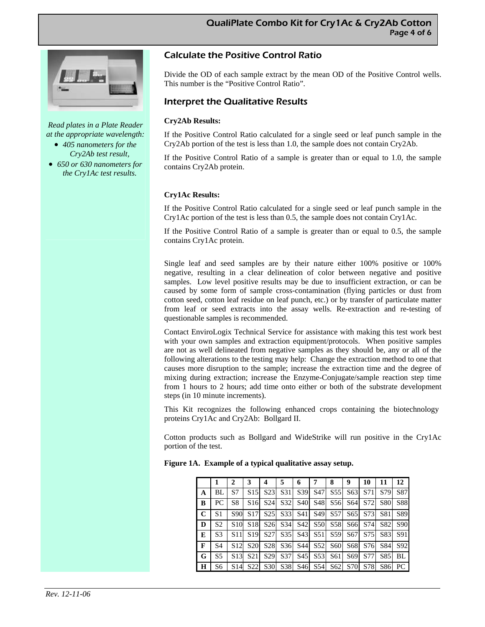

*Read plates in a Plate Reader at the appropriate wavelength:* 

- *405 nanometers for the Cry2Ab test result,*
- *650 or 630 nanometers for the Cry1Ac test results.*

### Calculate the Positive Control Ratio

Divide the OD of each sample extract by the mean OD of the Positive Control wells. This number is the "Positive Control Ratio".

#### Interpret the Qualitative Results

#### **Cry2Ab Results:**

If the Positive Control Ratio calculated for a single seed or leaf punch sample in the Cry2Ab portion of the test is less than 1.0, the sample does not contain Cry2Ab.

If the Positive Control Ratio of a sample is greater than or equal to 1.0, the sample contains Cry2Ab protein.

#### **Cry1Ac Results:**

If the Positive Control Ratio calculated for a single seed or leaf punch sample in the Cry1Ac portion of the test is less than 0.5, the sample does not contain Cry1Ac.

If the Positive Control Ratio of a sample is greater than or equal to 0.5, the sample contains Cry1Ac protein.

Single leaf and seed samples are by their nature either 100% positive or 100% negative, resulting in a clear delineation of color between negative and positive samples. Low level positive results may be due to insufficient extraction, or can be caused by some form of sample cross-contamination (flying particles or dust from cotton seed, cotton leaf residue on leaf punch, etc.) or by transfer of particulate matter from leaf or seed extracts into the assay wells. Re-extraction and re-testing of questionable samples is recommended.

Contact EnviroLogix Technical Service for assistance with making this test work best with your own samples and extraction equipment/protocols. When positive samples are not as well delineated from negative samples as they should be, any or all of the following alterations to the testing may help: Change the extraction method to one that causes more disruption to the sample; increase the extraction time and the degree of mixing during extraction; increase the Enzyme-Conjugate/sample reaction step time from 1 hours to 2 hours; add time onto either or both of the substrate development steps (in 10 minute increments).

This Kit recognizes the following enhanced crops containing the biotechnology proteins Cry1Ac and Cry2Ab: Bollgard II.

Cotton products such as Bollgard and WideStrike will run positive in the Cry1Ac portion of the test.

|              |                | $\mathbf{2}$    | 3               | 4               | 5               | 6               |                 | 8               | 9               | 10      | 11         | 12  |
|--------------|----------------|-----------------|-----------------|-----------------|-----------------|-----------------|-----------------|-----------------|-----------------|---------|------------|-----|
| A            | BL             | S7              | S <sub>15</sub> | S <sub>23</sub> | S31             | S39             | S47             | S <sub>5</sub>  | S <sub>63</sub> | S71     | S79        | S87 |
| B            | PC.            | S <sub>8</sub>  | S <sub>16</sub> | S <sub>24</sub> | S32             | <b>S40</b>      | S <sub>48</sub> |                 | S56 S64         | S72     | <b>S80</b> | S88 |
| $\mathbf C$  | S <sub>1</sub> | S90             | S <sub>17</sub> | S <sub>25</sub> | S <sub>33</sub> | S41             | S <sub>49</sub> | S <sub>57</sub> | S <sub>65</sub> | S73     | S81        | S89 |
| D            | S <sub>2</sub> | S10             | S <sub>18</sub> | S <sub>26</sub> | S <sub>34</sub> | S42             | <b>S50</b>      | S58             |                 | S66 S74 | S82        | S90 |
| E            | S <sub>3</sub> | S <sub>11</sub> | S <sub>19</sub> | S27             | S <sub>35</sub> | S43             | S51             | S59             |                 | S67 S75 | S83        | S91 |
| $\mathbf{F}$ | S <sub>4</sub> | S <sub>12</sub> | <b>S20</b>      | S <sub>28</sub> | S <sub>36</sub> | S441            | S <sub>52</sub> | S <sub>60</sub> | S68             | S76     | S84        | S92 |
| G            | S <sub>5</sub> | S <sub>13</sub> | <b>S21</b>      | S <sub>29</sub> | S <sub>37</sub> | S45             | S <sub>53</sub> | S61             | S69             | S77     | S85        | BL  |
| H            | S6             | S14             | <b>S22</b>      | <b>S30</b>      | S38             | S <sub>46</sub> | S54             | S <sub>62</sub> | <b>S70</b>      | S78     | S86        | PC  |

**Figure 1A. Example of a typical qualitative assay setup.**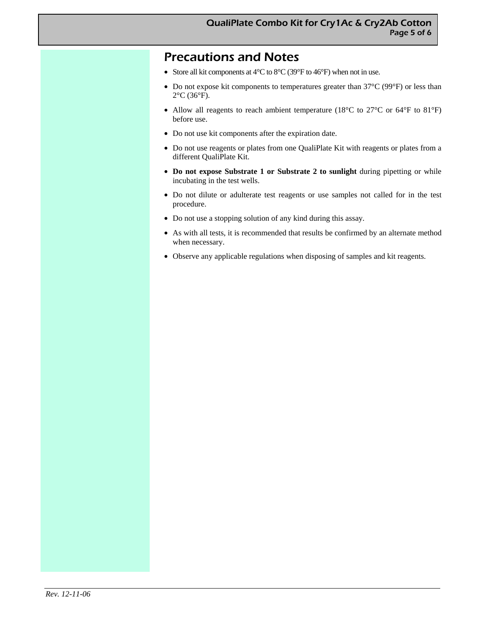## Precautions and Notes

- Store all kit components at 4°C to 8°C (39°F to 46°F) when not in use.
- Do not expose kit components to temperatures greater than 37°C (99°F) or less than 2°C (36°F).
- Allow all reagents to reach ambient temperature (18°C to 27°C or 64°F to 81°F) before use.
- Do not use kit components after the expiration date.
- Do not use reagents or plates from one QualiPlate Kit with reagents or plates from a different QualiPlate Kit.
- **Do not expose Substrate 1 or Substrate 2 to sunlight** during pipetting or while incubating in the test wells.
- Do not dilute or adulterate test reagents or use samples not called for in the test procedure.
- Do not use a stopping solution of any kind during this assay.
- As with all tests, it is recommended that results be confirmed by an alternate method when necessary.
- Observe any applicable regulations when disposing of samples and kit reagents.